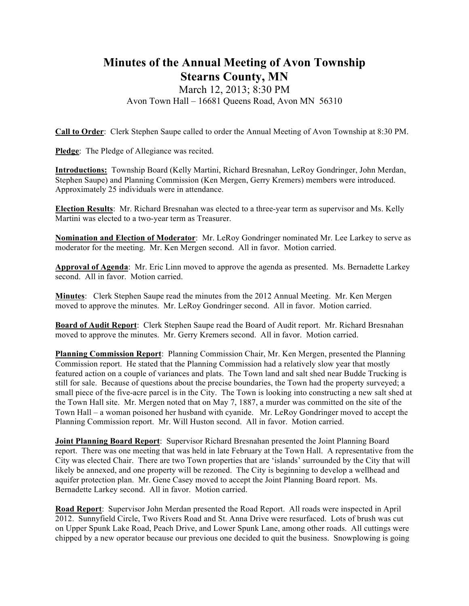## **Minutes of the Annual Meeting of Avon Township Stearns County, MN**

## March 12, 2013; 8:30 PM Avon Town Hall – 16681 Queens Road, Avon MN 56310

**Call to Order**: Clerk Stephen Saupe called to order the Annual Meeting of Avon Township at 8:30 PM.

**Pledge**: The Pledge of Allegiance was recited.

**Introductions:** Township Board (Kelly Martini, Richard Bresnahan, LeRoy Gondringer, John Merdan, Stephen Saupe) and Planning Commission (Ken Mergen, Gerry Kremers) members were introduced. Approximately 25 individuals were in attendance.

**Election Results**: Mr. Richard Bresnahan was elected to a three-year term as supervisor and Ms. Kelly Martini was elected to a two-year term as Treasurer.

**Nomination and Election of Moderator**: Mr. LeRoy Gondringer nominated Mr. Lee Larkey to serve as moderator for the meeting. Mr. Ken Mergen second. All in favor. Motion carried.

**Approval of Agenda**: Mr. Eric Linn moved to approve the agenda as presented. Ms. Bernadette Larkey second. All in favor. Motion carried.

**Minutes**: Clerk Stephen Saupe read the minutes from the 2012 Annual Meeting. Mr. Ken Mergen moved to approve the minutes. Mr. LeRoy Gondringer second. All in favor. Motion carried.

**Board of Audit Report**: Clerk Stephen Saupe read the Board of Audit report. Mr. Richard Bresnahan moved to approve the minutes. Mr. Gerry Kremers second. All in favor. Motion carried.

**Planning Commission Report**: Planning Commission Chair, Mr. Ken Mergen, presented the Planning Commission report. He stated that the Planning Commission had a relatively slow year that mostly featured action on a couple of variances and plats. The Town land and salt shed near Budde Trucking is still for sale. Because of questions about the precise boundaries, the Town had the property surveyed; a small piece of the five-acre parcel is in the City. The Town is looking into constructing a new salt shed at the Town Hall site. Mr. Mergen noted that on May 7, 1887, a murder was committed on the site of the Town Hall – a woman poisoned her husband with cyanide. Mr. LeRoy Gondringer moved to accept the Planning Commission report. Mr. Will Huston second. All in favor. Motion carried.

**Joint Planning Board Report**: Supervisor Richard Bresnahan presented the Joint Planning Board report. There was one meeting that was held in late February at the Town Hall. A representative from the City was elected Chair. There are two Town properties that are 'islands' surrounded by the City that will likely be annexed, and one property will be rezoned. The City is beginning to develop a wellhead and aquifer protection plan. Mr. Gene Casey moved to accept the Joint Planning Board report. Ms. Bernadette Larkey second. All in favor. Motion carried.

**Road Report**: Supervisor John Merdan presented the Road Report. All roads were inspected in April 2012. Sunnyfield Circle, Two Rivers Road and St. Anna Drive were resurfaced. Lots of brush was cut on Upper Spunk Lake Road, Peach Drive, and Lower Spunk Lane, among other roads. All cuttings were chipped by a new operator because our previous one decided to quit the business. Snowplowing is going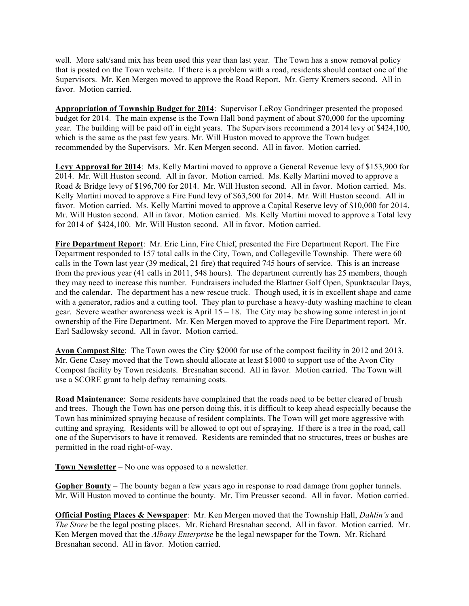well. More salt/sand mix has been used this year than last year. The Town has a snow removal policy that is posted on the Town website. If there is a problem with a road, residents should contact one of the Supervisors. Mr. Ken Mergen moved to approve the Road Report. Mr. Gerry Kremers second. All in favor. Motion carried.

**Appropriation of Township Budget for 2014**: Supervisor LeRoy Gondringer presented the proposed budget for 2014. The main expense is the Town Hall bond payment of about \$70,000 for the upcoming year. The building will be paid off in eight years. The Supervisors recommend a 2014 levy of \$424,100, which is the same as the past few years. Mr. Will Huston moved to approve the Town budget recommended by the Supervisors. Mr. Ken Mergen second. All in favor. Motion carried.

**Levy Approval for 2014**: Ms. Kelly Martini moved to approve a General Revenue levy of \$153,900 for 2014. Mr. Will Huston second. All in favor. Motion carried. Ms. Kelly Martini moved to approve a Road & Bridge levy of \$196,700 for 2014. Mr. Will Huston second. All in favor. Motion carried. Ms. Kelly Martini moved to approve a Fire Fund levy of \$63,500 for 2014. Mr. Will Huston second. All in favor. Motion carried. Ms. Kelly Martini moved to approve a Capital Reserve levy of \$10,000 for 2014. Mr. Will Huston second. All in favor. Motion carried. Ms. Kelly Martini moved to approve a Total levy for 2014 of \$424,100. Mr. Will Huston second. All in favor. Motion carried.

**Fire Department Report**: Mr. Eric Linn, Fire Chief, presented the Fire Department Report. The Fire Department responded to 157 total calls in the City, Town, and Collegeville Township. There were 60 calls in the Town last year (39 medical, 21 fire) that required 745 hours of service. This is an increase from the previous year (41 calls in 2011, 548 hours). The department currently has 25 members, though they may need to increase this number. Fundraisers included the Blattner Golf Open, Spunktacular Days, and the calendar. The department has a new rescue truck. Though used, it is in excellent shape and came with a generator, radios and a cutting tool. They plan to purchase a heavy-duty washing machine to clean gear. Severe weather awareness week is April  $15 - 18$ . The City may be showing some interest in joint ownership of the Fire Department. Mr. Ken Mergen moved to approve the Fire Department report. Mr. Earl Sadlowsky second. All in favor. Motion carried.

**Avon Compost Site**: The Town owes the City \$2000 for use of the compost facility in 2012 and 2013. Mr. Gene Casey moved that the Town should allocate at least \$1000 to support use of the Avon City Compost facility by Town residents. Bresnahan second. All in favor. Motion carried. The Town will use a SCORE grant to help defray remaining costs.

**Road Maintenance**: Some residents have complained that the roads need to be better cleared of brush and trees. Though the Town has one person doing this, it is difficult to keep ahead especially because the Town has minimized spraying because of resident complaints. The Town will get more aggressive with cutting and spraying. Residents will be allowed to opt out of spraying. If there is a tree in the road, call one of the Supervisors to have it removed. Residents are reminded that no structures, trees or bushes are permitted in the road right-of-way.

**Town Newsletter** – No one was opposed to a newsletter.

**Gopher Bounty** – The bounty began a few years ago in response to road damage from gopher tunnels. Mr. Will Huston moved to continue the bounty. Mr. Tim Preusser second. All in favor. Motion carried.

**Official Posting Places & Newspaper**: Mr. Ken Mergen moved that the Township Hall, *Dahlin's* and *The Store* be the legal posting places. Mr. Richard Bresnahan second. All in favor. Motion carried. Mr. Ken Mergen moved that the *Albany Enterprise* be the legal newspaper for the Town. Mr. Richard Bresnahan second. All in favor. Motion carried.